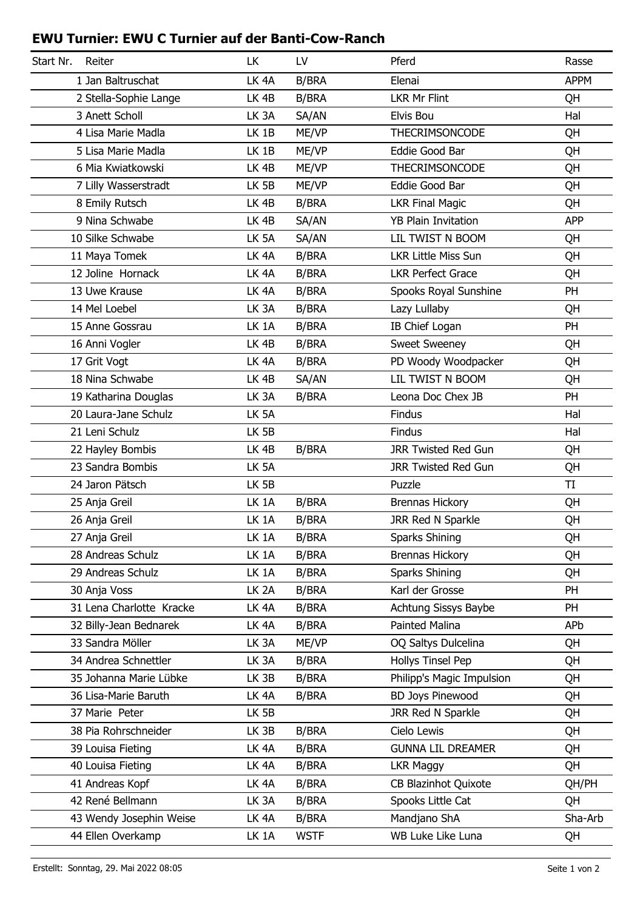## **EWU Turnier: EWU C Turnier auf der Banti-Cow-Ranch**

| Start Nr.<br>Reiter      | <b>LK</b>         | LV           | Pferd                       | Rasse       |
|--------------------------|-------------------|--------------|-----------------------------|-------------|
| 1 Jan Baltruschat        | LK <sub>4A</sub>  | <b>B/BRA</b> | Elenai                      | <b>APPM</b> |
| 2 Stella-Sophie Lange    | LK <sub>4B</sub>  | <b>B/BRA</b> | <b>LKR Mr Flint</b>         | QH          |
| 3 Anett Scholl           | LK <sub>3</sub> A | SA/AN        | Elvis Bou                   | Hal         |
| 4 Lisa Marie Madla       | LK 1B             | ME/VP        | <b>THECRIMSONCODE</b>       | QH          |
| 5 Lisa Marie Madla       | LK 1B             | ME/VP        | Eddie Good Bar              | QH          |
| 6 Mia Kwiatkowski        | LK <sub>4B</sub>  | ME/VP        | <b>THECRIMSONCODE</b>       | QH          |
| 7 Lilly Wasserstradt     | LK <sub>5B</sub>  | ME/VP        | Eddie Good Bar              | QH          |
| 8 Emily Rutsch           | LK <sub>4B</sub>  | <b>B/BRA</b> | <b>LKR Final Magic</b>      | QH          |
| 9 Nina Schwabe           | LK <sub>4B</sub>  | SA/AN        | <b>YB Plain Invitation</b>  | <b>APP</b>  |
| 10 Silke Schwabe         | LK 5A             | SA/AN        | LIL TWIST N BOOM            | QH          |
| 11 Maya Tomek            | LK <sub>4A</sub>  | <b>B/BRA</b> | <b>LKR Little Miss Sun</b>  | QH          |
| 12 Joline Hornack        | LK <sub>4A</sub>  | <b>B/BRA</b> | <b>LKR Perfect Grace</b>    | QH          |
| 13 Uwe Krause            | LK <sub>4A</sub>  | <b>B/BRA</b> | Spooks Royal Sunshine       | PH          |
| 14 Mel Loebel            | LK <sub>3</sub> A | <b>B/BRA</b> | Lazy Lullaby                | QH          |
| 15 Anne Gossrau          | LK 1A             | <b>B/BRA</b> | IB Chief Logan              | PH          |
| 16 Anni Vogler           | LK <sub>4B</sub>  | <b>B/BRA</b> | <b>Sweet Sweeney</b>        | QH          |
| 17 Grit Vogt             | LK <sub>4A</sub>  | <b>B/BRA</b> | PD Woody Woodpacker         | QH          |
| 18 Nina Schwabe          | LK <sub>4B</sub>  | SA/AN        | LIL TWIST N BOOM            | QH          |
| 19 Katharina Douglas     | LK <sub>3</sub> A | <b>B/BRA</b> | Leona Doc Chex JB           | PH          |
| 20 Laura-Jane Schulz     | LK <sub>5A</sub>  |              | <b>Findus</b>               | Hal         |
| 21 Leni Schulz           | LK 5B             |              | Findus                      | Hal         |
| 22 Hayley Bombis         | LK <sub>4B</sub>  | <b>B/BRA</b> | <b>JRR Twisted Red Gun</b>  | QH          |
| 23 Sandra Bombis         | LK <sub>5A</sub>  |              | <b>JRR Twisted Red Gun</b>  | QH          |
| 24 Jaron Pätsch          | LK <sub>5B</sub>  |              | Puzzle                      | TI          |
| 25 Anja Greil            | LK 1A             | <b>B/BRA</b> | <b>Brennas Hickory</b>      | QH          |
| 26 Anja Greil            | LK 1A             | <b>B/BRA</b> | JRR Red N Sparkle           | QH          |
| 27 Anja Greil            | LK 1A             | B/BRA        | Sparks Shining              | QΗ          |
| 28 Andreas Schulz        | LK 1A             | <b>B/BRA</b> | <b>Brennas Hickory</b>      | QH          |
| 29 Andreas Schulz        | LK 1A             | <b>B/BRA</b> | Sparks Shining              | QH          |
| 30 Anja Voss             | LK <sub>2</sub> A | <b>B/BRA</b> | Karl der Grosse             | PH          |
| 31 Lena Charlotte Kracke | LK <sub>4</sub> A | <b>B/BRA</b> | Achtung Sissys Baybe        | PH          |
| 32 Billy-Jean Bednarek   | LK <sub>4</sub> A | <b>B/BRA</b> | Painted Malina              | APb         |
| 33 Sandra Möller         | LK <sub>3</sub> A | ME/VP        | OQ Saltys Dulcelina         | QH          |
| 34 Andrea Schnettler     | LK 3A             | <b>B/BRA</b> | <b>Hollys Tinsel Pep</b>    | QH          |
| 35 Johanna Marie Lübke   | LK 3B             | <b>B/BRA</b> | Philipp's Magic Impulsion   | QH          |
| 36 Lisa-Marie Baruth     | LK <sub>4A</sub>  | <b>B/BRA</b> | <b>BD Joys Pinewood</b>     | QH          |
| 37 Marie Peter           | LK 5B             |              | JRR Red N Sparkle           | QH          |
| 38 Pia Rohrschneider     | LK 3B             | B/BRA        | Cielo Lewis                 | QH          |
| 39 Louisa Fieting        | LK <sub>4</sub> A | <b>B/BRA</b> | <b>GUNNA LIL DREAMER</b>    | QH          |
| 40 Louisa Fieting        | LK <sub>4</sub> A | <b>B/BRA</b> | <b>LKR Maggy</b>            | QH          |
| 41 Andreas Kopf          | LK <sub>4</sub> A | <b>B/BRA</b> | <b>CB Blazinhot Quixote</b> | QH/PH       |
| 42 René Bellmann         | LK 3A             | <b>B/BRA</b> | Spooks Little Cat           | QH          |
| 43 Wendy Josephin Weise  | LK <sub>4A</sub>  | <b>B/BRA</b> | Mandjano ShA                | Sha-Arb     |
| 44 Ellen Overkamp        | LK 1A             | <b>WSTF</b>  | WB Luke Like Luna           | QH          |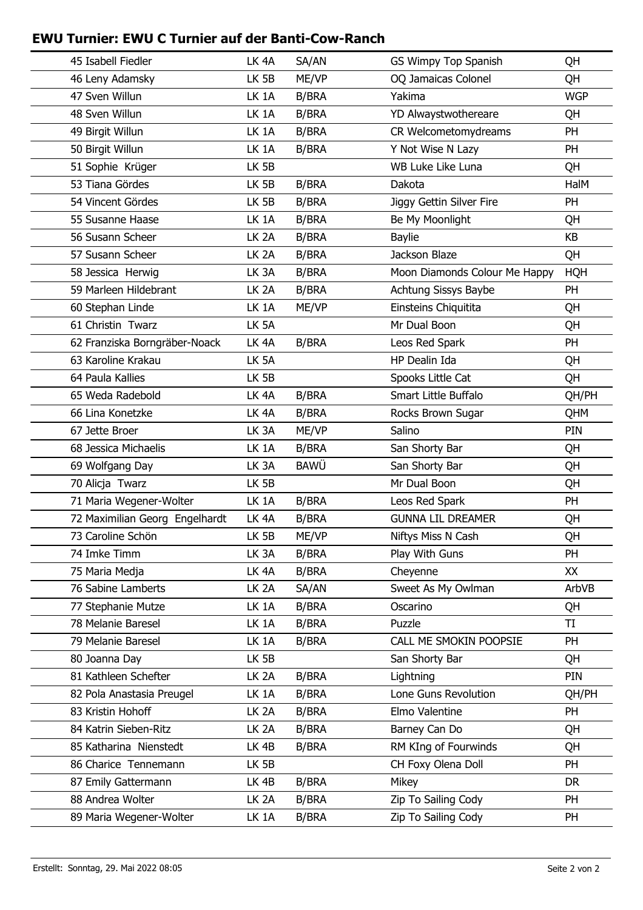## **EWU Turnier: EWU C Turnier auf der Banti-Cow-Ranch**

| 45 Isabell Fiedler             | LK <sub>4</sub> A | SA/AN        | GS Wimpy Top Spanish          | QH         |
|--------------------------------|-------------------|--------------|-------------------------------|------------|
| 46 Leny Adamsky                | LK 5B             | ME/VP        | OQ Jamaicas Colonel           | QH         |
| 47 Sven Willun                 | LK 1A             | <b>B/BRA</b> | Yakima                        | <b>WGP</b> |
| 48 Sven Willun                 | LK 1A             | <b>B/BRA</b> | YD Alwaystwothereare          | QH         |
| 49 Birgit Willun               | LK 1A             | <b>B/BRA</b> | CR Welcometomydreams          | PH         |
| 50 Birgit Willun               | LK 1A             | <b>B/BRA</b> | Y Not Wise N Lazy             | PH         |
| 51 Sophie Krüger               | LK 5B             |              | WB Luke Like Luna             | QH         |
| 53 Tiana Gördes                | LK 5B             | <b>B/BRA</b> | Dakota                        | HalM       |
| 54 Vincent Gördes              | LK 5B             | <b>B/BRA</b> | Jiggy Gettin Silver Fire      | PH         |
| 55 Susanne Haase               | LK 1A             | <b>B/BRA</b> | Be My Moonlight               | QH         |
| 56 Susann Scheer               | LK <sub>2A</sub>  | <b>B/BRA</b> | <b>Baylie</b>                 | KB         |
| 57 Susann Scheer               | LK <sub>2A</sub>  | <b>B/BRA</b> | Jackson Blaze                 | QH         |
| 58 Jessica Herwig              | LK <sub>3</sub> A | <b>B/BRA</b> | Moon Diamonds Colour Me Happy | <b>HQH</b> |
| 59 Marleen Hildebrant          | LK <sub>2</sub> A | <b>B/BRA</b> | Achtung Sissys Baybe          | <b>PH</b>  |
| 60 Stephan Linde               | LK 1A             | ME/VP        | Einsteins Chiquitita          | QH         |
| 61 Christin Twarz              | LK 5A             |              | Mr Dual Boon                  | QH         |
| 62 Franziska Borngräber-Noack  | LK <sub>4A</sub>  | <b>B/BRA</b> | Leos Red Spark                | PH         |
| 63 Karoline Krakau             | LK <sub>5A</sub>  |              | HP Dealin Ida                 | QH         |
| 64 Paula Kallies               | LK 5B             |              | Spooks Little Cat             | QH         |
| 65 Weda Radebold               | LK <sub>4A</sub>  | <b>B/BRA</b> | Smart Little Buffalo          | QH/PH      |
| 66 Lina Konetzke               | LK <sub>4A</sub>  | <b>B/BRA</b> | Rocks Brown Sugar             | QHM        |
| 67 Jette Broer                 | LK <sub>3</sub> A | ME/VP        | Salino                        | PIN        |
| 68 Jessica Michaelis           | LK 1A             | <b>B/BRA</b> | San Shorty Bar                | QH         |
| 69 Wolfgang Day                | LK <sub>3</sub> A | <b>BAWÜ</b>  | San Shorty Bar                | QH         |
| 70 Alicja Twarz                | LK 5B             |              | Mr Dual Boon                  | QH         |
| 71 Maria Wegener-Wolter        | LK <sub>1</sub> A | <b>B/BRA</b> | Leos Red Spark                | PH         |
| 72 Maximilian Georg Engelhardt | LK <sub>4A</sub>  | <b>B/BRA</b> | <b>GUNNA LIL DREAMER</b>      | QH         |
| 73 Caroline Schön              | LK 5B             | ME/VP        | Niftys Miss N Cash            | QH         |
| 74 Imke Timm                   | LK <sub>3</sub> A | <b>B/BRA</b> | Play With Guns                | PH         |
| 75 Maria Medja                 | LK <sub>4A</sub>  | <b>B/BRA</b> | Cheyenne                      | XX         |
| 76 Sabine Lamberts             | LK <sub>2</sub> A | SA/AN        | Sweet As My Owlman            | ArbVB      |
| 77 Stephanie Mutze             | LK 1A             | <b>B/BRA</b> | Oscarino                      | QH         |
| 78 Melanie Baresel             | LK 1A             | <b>B/BRA</b> | Puzzle                        | TI         |
| 79 Melanie Baresel             | LK 1A             | <b>B/BRA</b> | CALL ME SMOKIN POOPSIE        | PH         |
| 80 Joanna Day                  | LK 5B             |              | San Shorty Bar                | QH         |
| 81 Kathleen Schefter           | LK <sub>2A</sub>  | <b>B/BRA</b> | Lightning                     | PIN        |
| 82 Pola Anastasia Preugel      | LK 1A             | <b>B/BRA</b> | Lone Guns Revolution          | QH/PH      |
| 83 Kristin Hohoff              | LK <sub>2A</sub>  | <b>B/BRA</b> | Elmo Valentine                | <b>PH</b>  |
| 84 Katrin Sieben-Ritz          | LK <sub>2</sub> A | <b>B/BRA</b> | Barney Can Do                 | QH         |
| 85 Katharina Nienstedt         | LK 4B             | <b>B/BRA</b> | RM KIng of Fourwinds          | QH         |
| 86 Charice Tennemann           | LK 5B             |              | CH Foxy Olena Doll            | PH         |
| 87 Emily Gattermann            | LK <sub>4B</sub>  | B/BRA        | Mikey                         | <b>DR</b>  |
| 88 Andrea Wolter               | LK <sub>2</sub> A | B/BRA        | Zip To Sailing Cody           | <b>PH</b>  |
| 89 Maria Wegener-Wolter        | LK 1A             | <b>B/BRA</b> | Zip To Sailing Cody           | <b>PH</b>  |
|                                |                   |              |                               |            |